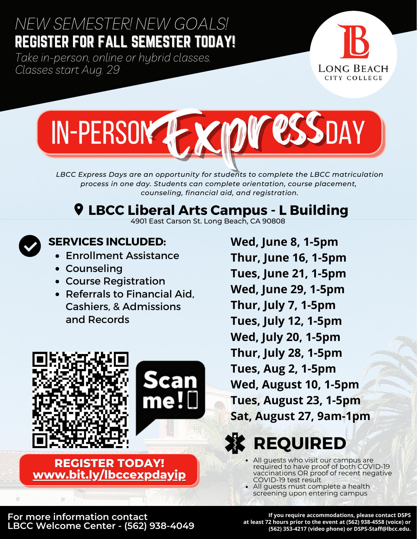## *NEW SEMESTER! NEW GOALS!* REGISTER FOR FALL SEMESTER TODAY!

*Take in-person, online or hybrid classes. Classes start Aug. 29*





*LBCC Express Days are an opportunity for students to complete the LBCC matriculation process in one day. Students can complete orientation, course placement, counseling, financial aid, and registration.*

# **LBCC Liberal Arts Campus - L Building**





#### **SERVICES INCLUDED:**

- Enrollment Assistance
- Counseling
- Course Registration
- Referrals to Financial Aid. Cashiers, & Admissions and Records



#### **REGISTER TODAY! [www.bit.ly/lbccexpdayip](http://www.bit.ly/lbccexpdayip)**

**Wed, June 8, 1-5pm Thur, June 16, 1-5pm Tues, June 21, 1-5pm Wed, June 29, 1-5pm Thur, July 7, 1-5pm Tues, July 12, 1-5pm Wed, July 20, 1-5pm Thur, July 28, 1-5pm Tues, Aug 2, 1-5pm Wed, August 10, 1-5pm Tues, August 23, 1-5pm Sat, August 27, 9am-1pm**



- All guests who visit our campus are required to have proof of both COVID-19 vaccinations OR proof of recent negative COVID-19 test result
- All guests must complete a health screening upon entering campus

**For more information contact LBCC Welcome Center - (562) 938-4049**

**If you require accommodations, please contact DSPS at least 72 hours prior to the event at (562) 938-4558 (voice) or (562) 353-4217 (video phone) or DSPS-Staff@lbcc.edu.**